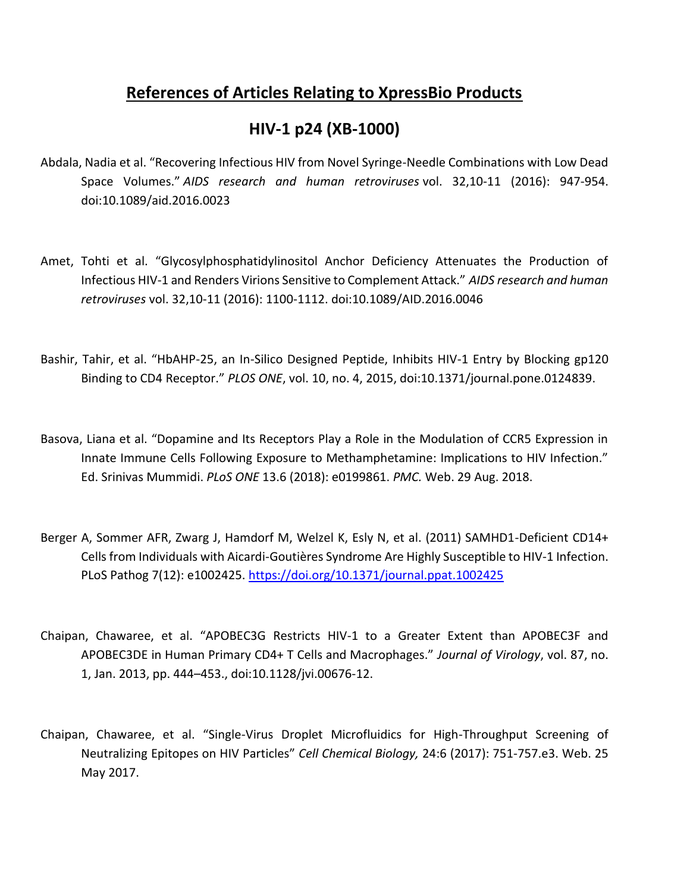# **References of Articles Relating to XpressBio Products**

# **HIV-1 p24 (XB-1000)**

- Abdala, Nadia et al. "Recovering Infectious HIV from Novel Syringe-Needle Combinations with Low Dead Space Volumes." *AIDS research and human retroviruses* vol. 32,10-11 (2016): 947-954. doi:10.1089/aid.2016.0023
- Amet, Tohti et al. "Glycosylphosphatidylinositol Anchor Deficiency Attenuates the Production of Infectious HIV-1 and Renders Virions Sensitive to Complement Attack." *AIDS research and human retroviruses* vol. 32,10-11 (2016): 1100-1112. doi:10.1089/AID.2016.0046
- Bashir, Tahir, et al. "HbAHP-25, an In-Silico Designed Peptide, Inhibits HIV-1 Entry by Blocking gp120 Binding to CD4 Receptor." *PLOS ONE*, vol. 10, no. 4, 2015, doi:10.1371/journal.pone.0124839.
- Basova, Liana et al. "Dopamine and Its Receptors Play a Role in the Modulation of CCR5 Expression in Innate Immune Cells Following Exposure to Methamphetamine: Implications to HIV Infection." Ed. Srinivas Mummidi. *PLoS ONE* 13.6 (2018): e0199861. *PMC.* Web. 29 Aug. 2018.
- Berger A, Sommer AFR, Zwarg J, Hamdorf M, Welzel K, Esly N, et al. (2011) SAMHD1-Deficient CD14+ Cells from Individuals with Aicardi-Goutières Syndrome Are Highly Susceptible to HIV-1 Infection. PLoS Pathog 7(12): e1002425.<https://doi.org/10.1371/journal.ppat.1002425>
- Chaipan, Chawaree, et al. "APOBEC3G Restricts HIV-1 to a Greater Extent than APOBEC3F and APOBEC3DE in Human Primary CD4+ T Cells and Macrophages." *Journal of Virology*, vol. 87, no. 1, Jan. 2013, pp. 444–453., doi:10.1128/jvi.00676-12.
- Chaipan, Chawaree, et al. "Single-Virus Droplet Microfluidics for High-Throughput Screening of Neutralizing Epitopes on HIV Particles" *Cell Chemical Biology,* 24:6 (2017): 751-757.e3. Web. 25 May 2017.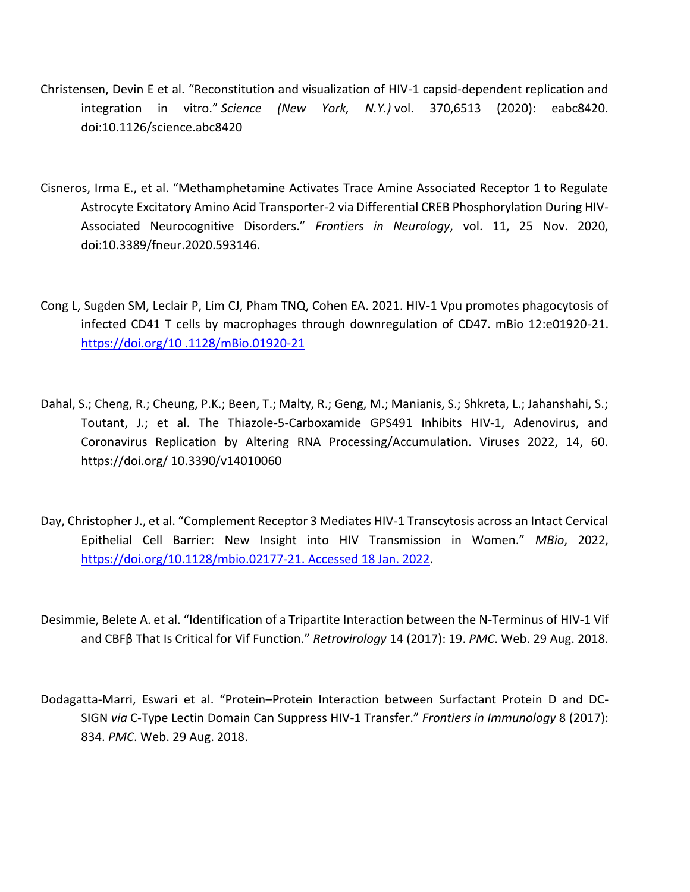- Christensen, Devin E et al. "Reconstitution and visualization of HIV-1 capsid-dependent replication and integration in vitro." *Science (New York, N.Y.)* vol. 370,6513 (2020): eabc8420. doi:10.1126/science.abc8420
- Cisneros, Irma E., et al. "Methamphetamine Activates Trace Amine Associated Receptor 1 to Regulate Astrocyte Excitatory Amino Acid Transporter-2 via Differential CREB Phosphorylation During HIV-Associated Neurocognitive Disorders." *Frontiers in Neurology*, vol. 11, 25 Nov. 2020, doi:10.3389/fneur.2020.593146.
- Cong L, Sugden SM, Leclair P, Lim CJ, Pham TNQ, Cohen EA. 2021. HIV-1 Vpu promotes phagocytosis of infected CD41 T cells by macrophages through downregulation of CD47. mBio 12:e01920-21. [https://doi.org/10 .1128/mBio.01920-21](https://doi.org/10%20.1128/mBio.01920-21)
- Dahal, S.; Cheng, R.; Cheung, P.K.; Been, T.; Malty, R.; Geng, M.; Manianis, S.; Shkreta, L.; Jahanshahi, S.; Toutant, J.; et al. The Thiazole-5-Carboxamide GPS491 Inhibits HIV-1, Adenovirus, and Coronavirus Replication by Altering RNA Processing/Accumulation. Viruses 2022, 14, 60. https://doi.org/ 10.3390/v14010060
- Day, Christopher J., et al. "Complement Receptor 3 Mediates HIV-1 Transcytosis across an Intact Cervical Epithelial Cell Barrier: New Insight into HIV Transmission in Women." *MBio*, 2022, [https://doi.org/10.1128/mbio.02177-21. Accessed 18 Jan. 2022.](https://doi.org/10.1128/mbio.02177-21.%20Accessed%2018%20Jan.%202022)
- Desimmie, Belete A. et al. "Identification of a Tripartite Interaction between the N-Terminus of HIV-1 Vif and CBFβ That Is Critical for Vif Function." *Retrovirology* 14 (2017): 19. *PMC*. Web. 29 Aug. 2018.
- Dodagatta-Marri, Eswari et al. "Protein–Protein Interaction between Surfactant Protein D and DC-SIGN *via* C-Type Lectin Domain Can Suppress HIV-1 Transfer." *Frontiers in Immunology* 8 (2017): 834. *PMC*. Web. 29 Aug. 2018.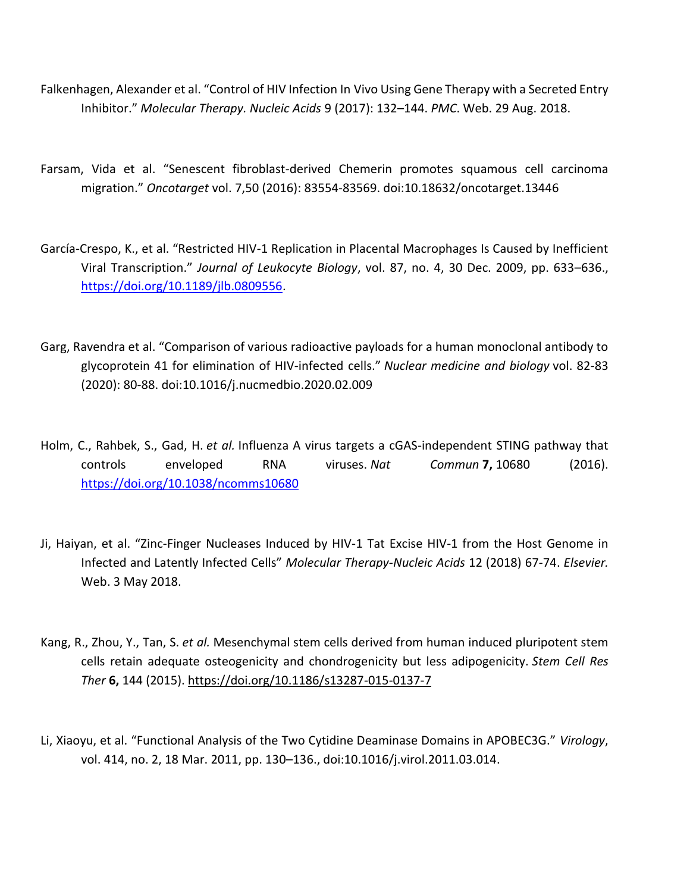- Falkenhagen, Alexander et al. "Control of HIV Infection In Vivo Using Gene Therapy with a Secreted Entry Inhibitor." *Molecular Therapy. Nucleic Acids* 9 (2017): 132–144. *PMC*. Web. 29 Aug. 2018.
- Farsam, Vida et al. "Senescent fibroblast-derived Chemerin promotes squamous cell carcinoma migration." *Oncotarget* vol. 7,50 (2016): 83554-83569. doi:10.18632/oncotarget.13446
- García-Crespo, K., et al. "Restricted HIV-1 Replication in Placental Macrophages Is Caused by Inefficient Viral Transcription." *Journal of Leukocyte Biology*, vol. 87, no. 4, 30 Dec. 2009, pp. 633–636., [https://doi.org/10.1189/jlb.0809556.](https://doi.org/10.1189/jlb.0809556)
- Garg, Ravendra et al. "Comparison of various radioactive payloads for a human monoclonal antibody to glycoprotein 41 for elimination of HIV-infected cells." *Nuclear medicine and biology* vol. 82-83 (2020): 80-88. doi:10.1016/j.nucmedbio.2020.02.009
- Holm, C., Rahbek, S., Gad, H. *et al.* Influenza A virus targets a cGAS-independent STING pathway that controls enveloped RNA viruses. *Nat Commun* **7,** 10680 (2016). <https://doi.org/10.1038/ncomms10680>
- Ji, Haiyan, et al. "Zinc-Finger Nucleases Induced by HIV-1 Tat Excise HIV-1 from the Host Genome in Infected and Latently Infected Cells" *Molecular Therapy-Nucleic Acids* 12 (2018) 67-74. *Elsevier.*  Web. 3 May 2018.
- Kang, R., Zhou, Y., Tan, S. *et al.* Mesenchymal stem cells derived from human induced pluripotent stem cells retain adequate osteogenicity and chondrogenicity but less adipogenicity. *Stem Cell Res Ther* **6,** 144 (2015).<https://doi.org/10.1186/s13287-015-0137-7>
- Li, Xiaoyu, et al. "Functional Analysis of the Two Cytidine Deaminase Domains in APOBEC3G." *Virology*, vol. 414, no. 2, 18 Mar. 2011, pp. 130–136., doi:10.1016/j.virol.2011.03.014.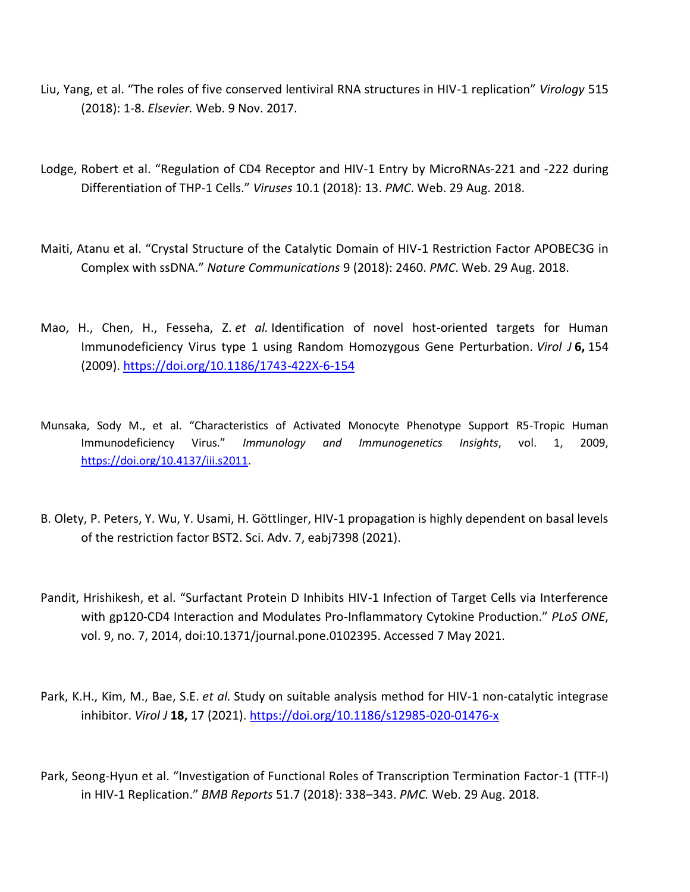- Liu, Yang, et al. "The roles of five conserved lentiviral RNA structures in HIV-1 replication" *Virology* 515 (2018): 1-8. *Elsevier.* Web. 9 Nov. 2017.
- Lodge, Robert et al. "Regulation of CD4 Receptor and HIV-1 Entry by MicroRNAs-221 and -222 during Differentiation of THP-1 Cells." *Viruses* 10.1 (2018): 13. *PMC*. Web. 29 Aug. 2018.
- Maiti, Atanu et al. "Crystal Structure of the Catalytic Domain of HIV-1 Restriction Factor APOBEC3G in Complex with ssDNA." *Nature Communications* 9 (2018): 2460. *PMC*. Web. 29 Aug. 2018.
- Mao, H., Chen, H., Fesseha, Z. *et al.* Identification of novel host-oriented targets for Human Immunodeficiency Virus type 1 using Random Homozygous Gene Perturbation. *Virol J* **6,** 154 (2009).<https://doi.org/10.1186/1743-422X-6-154>
- Munsaka, Sody M., et al. "Characteristics of Activated Monocyte Phenotype Support R5-Tropic Human Immunodeficiency Virus." *Immunology and Immunogenetics Insights*, vol. 1, 2009, [https://doi.org/10.4137/iii.s2011.](https://doi.org/10.4137/iii.s2011)
- B. Olety, P. Peters, Y. Wu, Y. Usami, H. Göttlinger, HIV-1 propagation is highly dependent on basal levels of the restriction factor BST2. Sci. Adv. 7, eabj7398 (2021).
- Pandit, Hrishikesh, et al. "Surfactant Protein D Inhibits HIV-1 Infection of Target Cells via Interference with gp120-CD4 Interaction and Modulates Pro-Inflammatory Cytokine Production." *PLoS ONE*, vol. 9, no. 7, 2014, doi:10.1371/journal.pone.0102395. Accessed 7 May 2021.
- Park, K.H., Kim, M., Bae, S.E. *et al.* Study on suitable analysis method for HIV-1 non-catalytic integrase inhibitor. *Virol J* **18,** 17 (2021).<https://doi.org/10.1186/s12985-020-01476-x>
- Park, Seong-Hyun et al. "Investigation of Functional Roles of Transcription Termination Factor-1 (TTF-I) in HIV-1 Replication." *BMB Reports* 51.7 (2018): 338–343. *PMC.* Web. 29 Aug. 2018.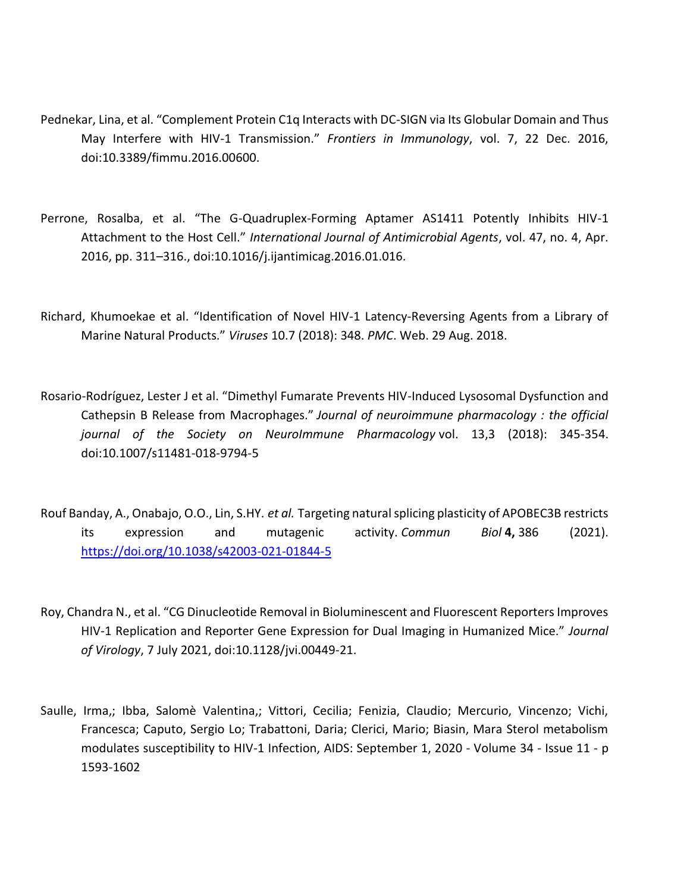- Pednekar, Lina, et al. "Complement Protein C1q Interacts with DC-SIGN via Its Globular Domain and Thus May Interfere with HIV-1 Transmission." *Frontiers in Immunology*, vol. 7, 22 Dec. 2016, doi:10.3389/fimmu.2016.00600.
- Perrone, Rosalba, et al. "The G-Quadruplex-Forming Aptamer AS1411 Potently Inhibits HIV-1 Attachment to the Host Cell." *International Journal of Antimicrobial Agents*, vol. 47, no. 4, Apr. 2016, pp. 311–316., doi:10.1016/j.ijantimicag.2016.01.016.
- Richard, Khumoekae et al. "Identification of Novel HIV-1 Latency-Reversing Agents from a Library of Marine Natural Products." *Viruses* 10.7 (2018): 348. *PMC*. Web. 29 Aug. 2018.
- Rosario-Rodríguez, Lester J et al. "Dimethyl Fumarate Prevents HIV-Induced Lysosomal Dysfunction and Cathepsin B Release from Macrophages." *Journal of neuroimmune pharmacology : the official journal of the Society on NeuroImmune Pharmacology* vol. 13,3 (2018): 345-354. doi:10.1007/s11481-018-9794-5
- Rouf Banday, A., Onabajo, O.O., Lin, S.HY. *et al.* Targeting natural splicing plasticity of APOBEC3B restricts its expression and mutagenic activity. *Commun Biol* **4,** 386 (2021). <https://doi.org/10.1038/s42003-021-01844-5>
- Roy, Chandra N., et al. "CG Dinucleotide Removal in Bioluminescent and Fluorescent Reporters Improves HIV-1 Replication and Reporter Gene Expression for Dual Imaging in Humanized Mice." *Journal of Virology*, 7 July 2021, doi:10.1128/jvi.00449-21.
- Saulle, Irma,; Ibba, Salomè Valentina,; Vittori, Cecilia; Fenizia, Claudio; Mercurio, Vincenzo; Vichi, Francesca; Caputo, Sergio Lo; Trabattoni, Daria; Clerici, Mario; Biasin, Mara Sterol metabolism modulates susceptibility to HIV-1 Infection, AIDS: September 1, 2020 - Volume 34 - Issue 11 - p 1593-1602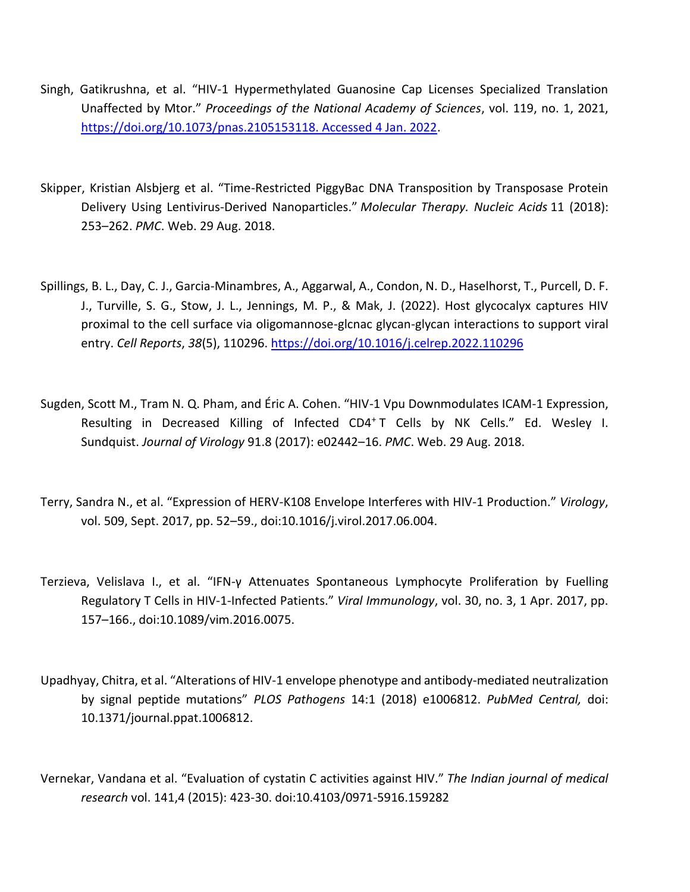- Singh, Gatikrushna, et al. "HIV-1 Hypermethylated Guanosine Cap Licenses Specialized Translation Unaffected by Mtor." *Proceedings of the National Academy of Sciences*, vol. 119, no. 1, 2021, [https://doi.org/10.1073/pnas.2105153118. Accessed 4 Jan. 2022.](https://doi.org/10.1073/pnas.2105153118.%20Accessed%204%20Jan.%202022)
- Skipper, Kristian Alsbjerg et al. "Time-Restricted PiggyBac DNA Transposition by Transposase Protein Delivery Using Lentivirus-Derived Nanoparticles." *Molecular Therapy. Nucleic Acids* 11 (2018): 253–262. *PMC*. Web. 29 Aug. 2018.
- Spillings, B. L., Day, C. J., Garcia-Minambres, A., Aggarwal, A., Condon, N. D., Haselhorst, T., Purcell, D. F. J., Turville, S. G., Stow, J. L., Jennings, M. P., & Mak, J. (2022). Host glycocalyx captures HIV proximal to the cell surface via oligomannose-glcnac glycan-glycan interactions to support viral entry. *Cell Reports*, *38*(5), 110296.<https://doi.org/10.1016/j.celrep.2022.110296>
- Sugden, Scott M., Tram N. Q. Pham, and Éric A. Cohen. "HIV-1 Vpu Downmodulates ICAM-1 Expression, Resulting in Decreased Killing of Infected CD4<sup>+</sup> T Cells by NK Cells." Ed. Wesley I. Sundquist. *Journal of Virology* 91.8 (2017): e02442–16. *PMC*. Web. 29 Aug. 2018.
- Terry, Sandra N., et al. "Expression of HERV-K108 Envelope Interferes with HIV-1 Production." *Virology*, vol. 509, Sept. 2017, pp. 52–59., doi:10.1016/j.virol.2017.06.004.
- Terzieva, Velislava I., et al. "IFN-γ Attenuates Spontaneous Lymphocyte Proliferation by Fuelling Regulatory T Cells in HIV-1-Infected Patients." *Viral Immunology*, vol. 30, no. 3, 1 Apr. 2017, pp. 157–166., doi:10.1089/vim.2016.0075.
- Upadhyay, Chitra, et al. "Alterations of HIV-1 envelope phenotype and antibody-mediated neutralization by signal peptide mutations" *PLOS Pathogens* 14:1 (2018) e1006812. *PubMed Central,* doi: 10.1371/journal.ppat.1006812.
- Vernekar, Vandana et al. "Evaluation of cystatin C activities against HIV." *The Indian journal of medical research* vol. 141,4 (2015): 423-30. doi:10.4103/0971-5916.159282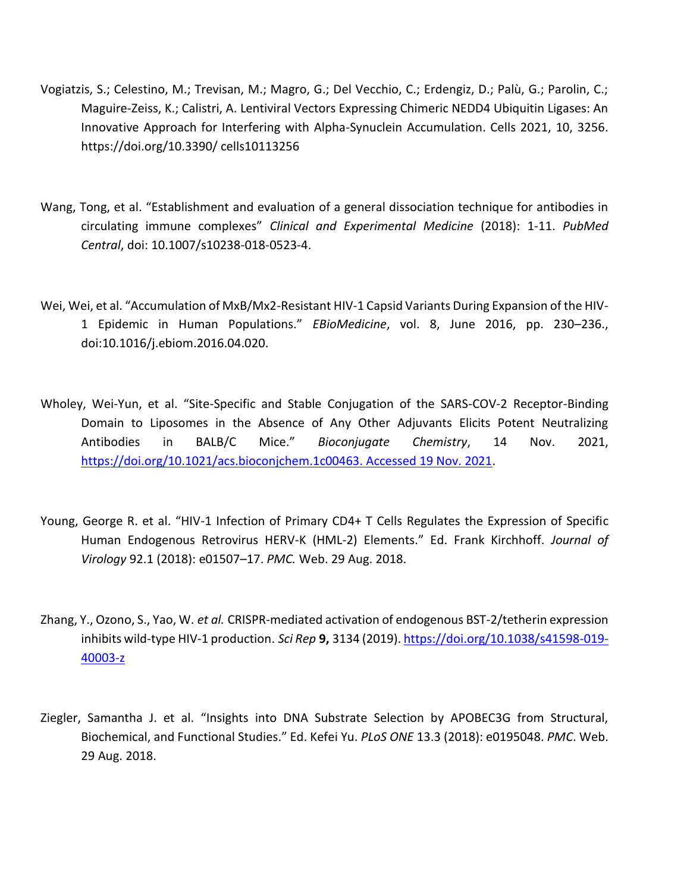- Vogiatzis, S.; Celestino, M.; Trevisan, M.; Magro, G.; Del Vecchio, C.; Erdengiz, D.; Palù, G.; Parolin, C.; Maguire-Zeiss, K.; Calistri, A. Lentiviral Vectors Expressing Chimeric NEDD4 Ubiquitin Ligases: An Innovative Approach for Interfering with Alpha-Synuclein Accumulation. Cells 2021, 10, 3256. https://doi.org/10.3390/ cells10113256
- Wang, Tong, et al. "Establishment and evaluation of a general dissociation technique for antibodies in circulating immune complexes" *Clinical and Experimental Medicine* (2018): 1-11. *PubMed Central*, doi: 10.1007/s10238-018-0523-4.
- Wei, Wei, et al. "Accumulation of MxB/Mx2-Resistant HIV-1 Capsid Variants During Expansion of the HIV-1 Epidemic in Human Populations." *EBioMedicine*, vol. 8, June 2016, pp. 230–236., doi:10.1016/j.ebiom.2016.04.020.
- Wholey, Wei-Yun, et al. "Site-Specific and Stable Conjugation of the SARS-COV-2 Receptor-Binding Domain to Liposomes in the Absence of Any Other Adjuvants Elicits Potent Neutralizing Antibodies in BALB/C Mice." *Bioconjugate Chemistry*, 14 Nov. 2021, [https://doi.org/10.1021/acs.bioconjchem.1c00463. Accessed 19 Nov. 2021.](https://doi.org/10.1021/acs.bioconjchem.1c00463.%20Accessed%2019%20Nov.%202021)
- Young, George R. et al. "HIV-1 Infection of Primary CD4+ T Cells Regulates the Expression of Specific Human Endogenous Retrovirus HERV-K (HML-2) Elements." Ed. Frank Kirchhoff. *Journal of Virology* 92.1 (2018): e01507–17. *PMC.* Web. 29 Aug. 2018.
- Zhang, Y., Ozono, S., Yao, W. *et al.* CRISPR-mediated activation of endogenous BST-2/tetherin expression inhibits wild-type HIV-1 production. *Sci Rep* **9,** 3134 (2019)[. https://doi.org/10.1038/s41598-019-](https://doi.org/10.1038/s41598-019-40003-z) [40003-z](https://doi.org/10.1038/s41598-019-40003-z)
- Ziegler, Samantha J. et al. "Insights into DNA Substrate Selection by APOBEC3G from Structural, Biochemical, and Functional Studies." Ed. Kefei Yu. *PLoS ONE* 13.3 (2018): e0195048. *PMC*. Web. 29 Aug. 2018.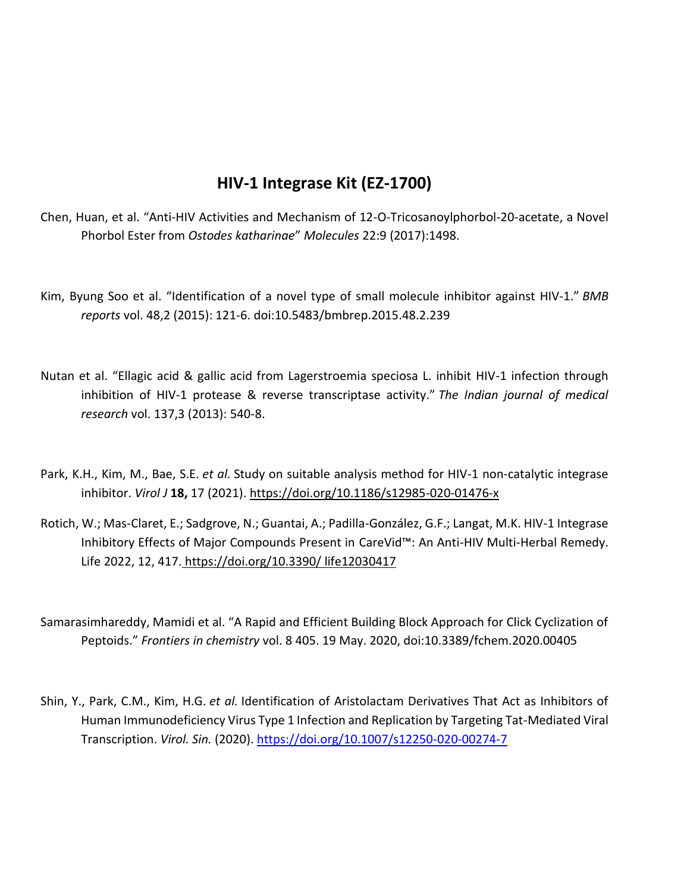## **HIV-1 Integrase Kit (EZ-1700)**

- Chen, Huan, et al. "Anti-HIV Activities and Mechanism of 12-O-Tricosanoylphorbol-20-acetate, a Novel Phorbol Ester from *Ostodes katharinae*" *Molecules* 22:9 (2017):1498.
- Kim, Byung Soo et al. "Identification of a novel type of small molecule inhibitor against HIV-1." *BMB reports* vol. 48,2 (2015): 121-6. doi:10.5483/bmbrep.2015.48.2.239
- Nutan et al. "Ellagic acid & gallic acid from Lagerstroemia speciosa L. inhibit HIV-1 infection through inhibition of HIV-1 protease & reverse transcriptase activity." *The Indian journal of medical research* vol. 137,3 (2013): 540-8.
- Park, K.H., Kim, M., Bae, S.E. *et al.* Study on suitable analysis method for HIV-1 non-catalytic integrase inhibitor. *Virol J* **18,** 17 (2021).<https://doi.org/10.1186/s12985-020-01476-x>
- Rotich, W.; Mas-Claret, E.; Sadgrove, N.; Guantai, A.; Padilla-González, G.F.; Langat, M.K. HIV-1 Integrase Inhibitory Effects of Major Compounds Present in CareVid™: An Anti-HIV Multi-Herbal Remedy. Life 2022, 12, 417. https://doi.org/10.3390/ life12030417
- Samarasimhareddy, Mamidi et al. "A Rapid and Efficient Building Block Approach for Click Cyclization of Peptoids." *Frontiers in chemistry* vol. 8 405. 19 May. 2020, doi:10.3389/fchem.2020.00405
- Shin, Y., Park, C.M., Kim, H.G. *et al.* Identification of Aristolactam Derivatives That Act as Inhibitors of Human Immunodeficiency Virus Type 1 Infection and Replication by Targeting Tat-Mediated Viral Transcription. *Virol. Sin.* (2020).<https://doi.org/10.1007/s12250-020-00274-7>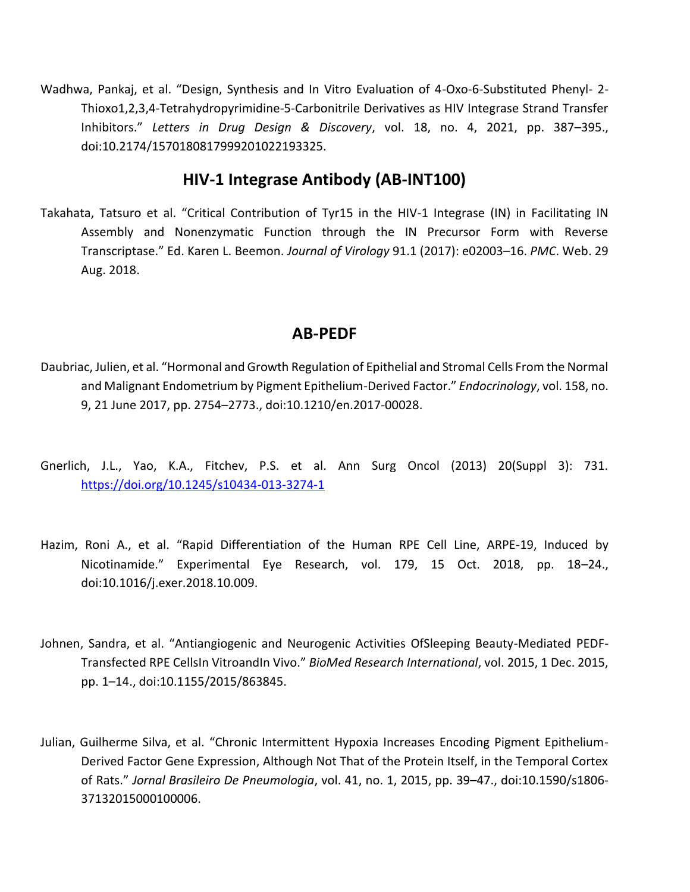Wadhwa, Pankaj, et al. "Design, Synthesis and In Vitro Evaluation of 4-Oxo-6-Substituted Phenyl- 2- Thioxo1,2,3,4-Tetrahydropyrimidine-5-Carbonitrile Derivatives as HIV Integrase Strand Transfer Inhibitors." *Letters in Drug Design & Discovery*, vol. 18, no. 4, 2021, pp. 387–395., doi:10.2174/1570180817999201022193325.

#### **HIV-1 Integrase Antibody (AB-INT100)**

Takahata, Tatsuro et al. "Critical Contribution of Tyr15 in the HIV-1 Integrase (IN) in Facilitating IN Assembly and Nonenzymatic Function through the IN Precursor Form with Reverse Transcriptase." Ed. Karen L. Beemon. *Journal of Virology* 91.1 (2017): e02003–16. *PMC*. Web. 29 Aug. 2018.

#### **AB-PEDF**

- Daubriac, Julien, et al. "Hormonal and Growth Regulation of Epithelial and Stromal Cells From the Normal and Malignant Endometrium by Pigment Epithelium-Derived Factor." *Endocrinology*, vol. 158, no. 9, 21 June 2017, pp. 2754–2773., doi:10.1210/en.2017-00028.
- Gnerlich, J.L., Yao, K.A., Fitchev, P.S. et al. Ann Surg Oncol (2013) 20(Suppl 3): 731. <https://doi.org/10.1245/s10434-013-3274-1>
- Hazim, Roni A., et al. "Rapid Differentiation of the Human RPE Cell Line, ARPE-19, Induced by Nicotinamide." Experimental Eye Research, vol. 179, 15 Oct. 2018, pp. 18–24., doi:10.1016/j.exer.2018.10.009.
- Johnen, Sandra, et al. "Antiangiogenic and Neurogenic Activities OfSleeping Beauty-Mediated PEDF-Transfected RPE CellsIn VitroandIn Vivo." *BioMed Research International*, vol. 2015, 1 Dec. 2015, pp. 1–14., doi:10.1155/2015/863845.
- Julian, Guilherme Silva, et al. "Chronic Intermittent Hypoxia Increases Encoding Pigment Epithelium-Derived Factor Gene Expression, Although Not That of the Protein Itself, in the Temporal Cortex of Rats." *Jornal Brasileiro De Pneumologia*, vol. 41, no. 1, 2015, pp. 39–47., doi:10.1590/s1806- 37132015000100006.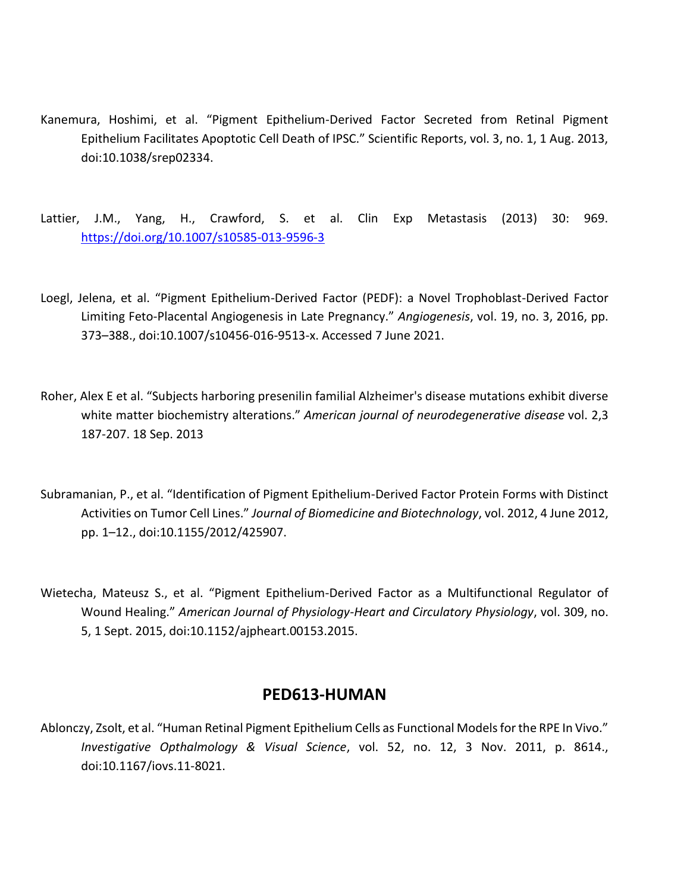- Kanemura, Hoshimi, et al. "Pigment Epithelium-Derived Factor Secreted from Retinal Pigment Epithelium Facilitates Apoptotic Cell Death of IPSC." Scientific Reports, vol. 3, no. 1, 1 Aug. 2013, doi:10.1038/srep02334.
- Lattier, J.M., Yang, H., Crawford, S. et al. Clin Exp Metastasis (2013) 30: 969. <https://doi.org/10.1007/s10585-013-9596-3>
- Loegl, Jelena, et al. "Pigment Epithelium-Derived Factor (PEDF): a Novel Trophoblast-Derived Factor Limiting Feto-Placental Angiogenesis in Late Pregnancy." *Angiogenesis*, vol. 19, no. 3, 2016, pp. 373–388., doi:10.1007/s10456-016-9513-x. Accessed 7 June 2021.
- Roher, Alex E et al. "Subjects harboring presenilin familial Alzheimer's disease mutations exhibit diverse white matter biochemistry alterations." *American journal of neurodegenerative disease* vol. 2,3 187-207. 18 Sep. 2013
- Subramanian, P., et al. "Identification of Pigment Epithelium-Derived Factor Protein Forms with Distinct Activities on Tumor Cell Lines." *Journal of Biomedicine and Biotechnology*, vol. 2012, 4 June 2012, pp. 1–12., doi:10.1155/2012/425907.
- Wietecha, Mateusz S., et al. "Pigment Epithelium-Derived Factor as a Multifunctional Regulator of Wound Healing." *American Journal of Physiology-Heart and Circulatory Physiology*, vol. 309, no. 5, 1 Sept. 2015, doi:10.1152/ajpheart.00153.2015.

#### **PED613-HUMAN**

Ablonczy, Zsolt, et al. "Human Retinal Pigment Epithelium Cells as Functional Models for the RPE In Vivo." *Investigative Opthalmology & Visual Science*, vol. 52, no. 12, 3 Nov. 2011, p. 8614., doi:10.1167/iovs.11-8021.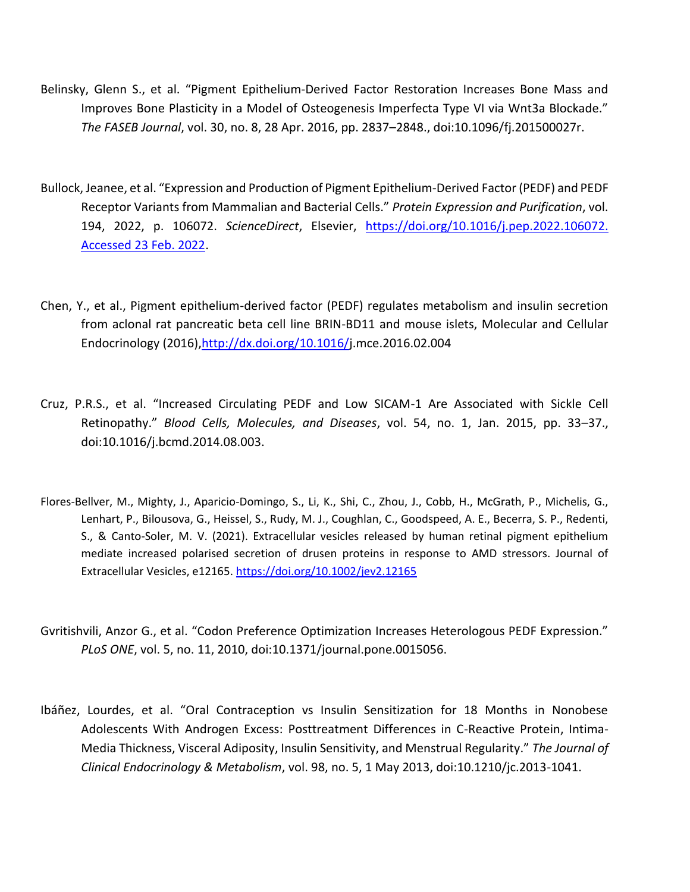- Belinsky, Glenn S., et al. "Pigment Epithelium‐Derived Factor Restoration Increases Bone Mass and Improves Bone Plasticity in a Model of Osteogenesis Imperfecta Type VI via Wnt3a Blockade." *The FASEB Journal*, vol. 30, no. 8, 28 Apr. 2016, pp. 2837–2848., doi:10.1096/fj.201500027r.
- Bullock, Jeanee, et al. "Expression and Production of Pigment Epithelium-Derived Factor (PEDF) and PEDF Receptor Variants from Mammalian and Bacterial Cells." *Protein Expression and Purification*, vol. 194, 2022, p. 106072. *ScienceDirect*, Elsevier, [https://doi.org/10.1016/j.pep.2022.106072.](https://doi.org/10.1016/j.pep.2022.106072.%20Accessed%2023%20Feb.%202022)  [Accessed 23 Feb. 2022.](https://doi.org/10.1016/j.pep.2022.106072.%20Accessed%2023%20Feb.%202022)
- Chen, Y., et al., Pigment epithelium-derived factor (PEDF) regulates metabolism and insulin secretion from aclonal rat pancreatic beta cell line BRIN-BD11 and mouse islets, Molecular and Cellular Endocrinology (2016)[,http://dx.doi.org/10.1016/j](https://www.dropbox.com/referrer_cleansing_redirect?hmac=zZO868CctFU7gLSPUCdaPkp4nNJyEiCwudcuZwjByEk%3D&url=http%3A%2F%2Fdx.doi.org%2F10.1016%2F).mce.2016.02.004
- Cruz, P.R.S., et al. "Increased Circulating PEDF and Low SICAM-1 Are Associated with Sickle Cell Retinopathy." *Blood Cells, Molecules, and Diseases*, vol. 54, no. 1, Jan. 2015, pp. 33–37., doi:10.1016/j.bcmd.2014.08.003.
- Flores-Bellver, M., Mighty, J., Aparicio-Domingo, S., Li, K., Shi, C., Zhou, J., Cobb, H., McGrath, P., Michelis, G., Lenhart, P., Bilousova, G., Heissel, S., Rudy, M. J., Coughlan, C., Goodspeed, A. E., Becerra, S. P., Redenti, S., & Canto-Soler, M. V. (2021). Extracellular vesicles released by human retinal pigment epithelium mediate increased polarised secretion of drusen proteins in response to AMD stressors. Journal of Extracellular Vesicles, e12165.<https://doi.org/10.1002/jev2.12165>
- Gvritishvili, Anzor G., et al. "Codon Preference Optimization Increases Heterologous PEDF Expression." *PLoS ONE*, vol. 5, no. 11, 2010, doi:10.1371/journal.pone.0015056.
- Ibáñez, Lourdes, et al. "Oral Contraception vs Insulin Sensitization for 18 Months in Nonobese Adolescents With Androgen Excess: Posttreatment Differences in C-Reactive Protein, Intima-Media Thickness, Visceral Adiposity, Insulin Sensitivity, and Menstrual Regularity." *The Journal of Clinical Endocrinology & Metabolism*, vol. 98, no. 5, 1 May 2013, doi:10.1210/jc.2013-1041.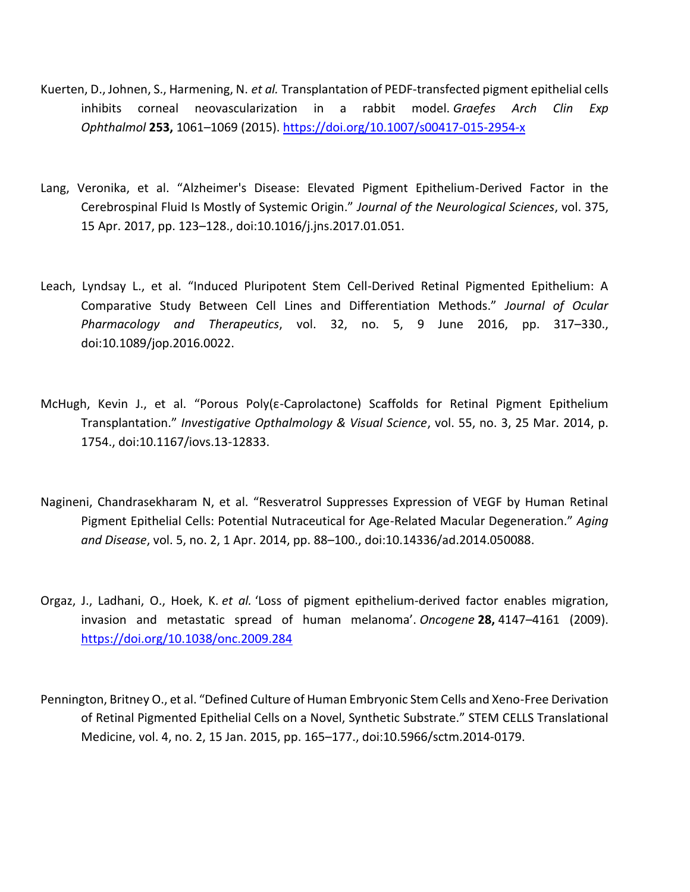- Kuerten, D., Johnen, S., Harmening, N. *et al.* Transplantation of PEDF-transfected pigment epithelial cells inhibits corneal neovascularization in a rabbit model. *Graefes Arch Clin Exp Ophthalmol* **253,** 1061–1069 (2015).<https://doi.org/10.1007/s00417-015-2954-x>
- Lang, Veronika, et al. "Alzheimer's Disease: Elevated Pigment Epithelium-Derived Factor in the Cerebrospinal Fluid Is Mostly of Systemic Origin." *Journal of the Neurological Sciences*, vol. 375, 15 Apr. 2017, pp. 123–128., doi:10.1016/j.jns.2017.01.051.
- Leach, Lyndsay L., et al. "Induced Pluripotent Stem Cell-Derived Retinal Pigmented Epithelium: A Comparative Study Between Cell Lines and Differentiation Methods." *Journal of Ocular Pharmacology and Therapeutics*, vol. 32, no. 5, 9 June 2016, pp. 317–330., doi:10.1089/jop.2016.0022.
- McHugh, Kevin J., et al. "Porous Poly(ε-Caprolactone) Scaffolds for Retinal Pigment Epithelium Transplantation." *Investigative Opthalmology & Visual Science*, vol. 55, no. 3, 25 Mar. 2014, p. 1754., doi:10.1167/iovs.13-12833.
- Nagineni, Chandrasekharam N, et al. "Resveratrol Suppresses Expression of VEGF by Human Retinal Pigment Epithelial Cells: Potential Nutraceutical for Age-Related Macular Degeneration." *Aging and Disease*, vol. 5, no. 2, 1 Apr. 2014, pp. 88–100., doi:10.14336/ad.2014.050088.
- Orgaz, J., Ladhani, O., Hoek, K. *et al.* 'Loss of pigment epithelium-derived factor enables migration, invasion and metastatic spread of human melanoma'. *Oncogene* **28,** 4147–4161 (2009). <https://doi.org/10.1038/onc.2009.284>
- Pennington, Britney O., et al. "Defined Culture of Human Embryonic Stem Cells and Xeno-Free Derivation of Retinal Pigmented Epithelial Cells on a Novel, Synthetic Substrate." STEM CELLS Translational Medicine, vol. 4, no. 2, 15 Jan. 2015, pp. 165–177., doi:10.5966/sctm.2014-0179.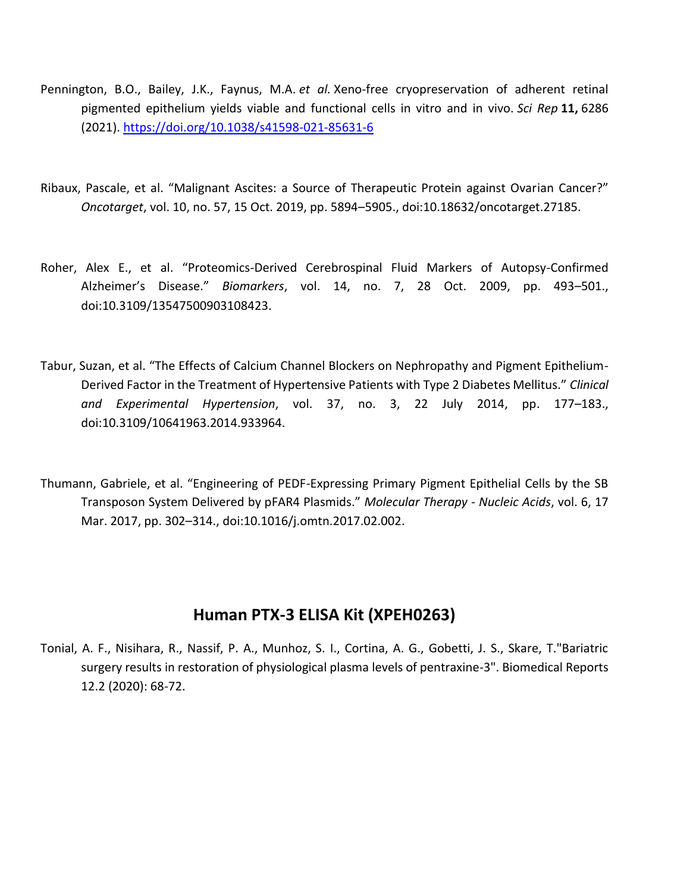- Pennington, B.O., Bailey, J.K., Faynus, M.A. *et al.* Xeno-free cryopreservation of adherent retinal pigmented epithelium yields viable and functional cells in vitro and in vivo. *Sci Rep* **11,** 6286 (2021).<https://doi.org/10.1038/s41598-021-85631-6>
- Ribaux, Pascale, et al. "Malignant Ascites: a Source of Therapeutic Protein against Ovarian Cancer?" *Oncotarget*, vol. 10, no. 57, 15 Oct. 2019, pp. 5894–5905., doi:10.18632/oncotarget.27185.
- Roher, Alex E., et al. "Proteomics-Derived Cerebrospinal Fluid Markers of Autopsy-Confirmed Alzheimer's Disease." *Biomarkers*, vol. 14, no. 7, 28 Oct. 2009, pp. 493–501., doi:10.3109/13547500903108423.
- Tabur, Suzan, et al. "The Effects of Calcium Channel Blockers on Nephropathy and Pigment Epithelium-Derived Factor in the Treatment of Hypertensive Patients with Type 2 Diabetes Mellitus." *Clinical and Experimental Hypertension*, vol. 37, no. 3, 22 July 2014, pp. 177–183., doi:10.3109/10641963.2014.933964.
- Thumann, Gabriele, et al. "Engineering of PEDF-Expressing Primary Pigment Epithelial Cells by the SB Transposon System Delivered by pFAR4 Plasmids." *Molecular Therapy - Nucleic Acids*, vol. 6, 17 Mar. 2017, pp. 302–314., doi:10.1016/j.omtn.2017.02.002.

#### **Human PTX-3 ELISA Kit (XPEH0263)**

Tonial, A. F., Nisihara, R., Nassif, P. A., Munhoz, S. I., Cortina, A. G., Gobetti, J. S., Skare, T."Bariatric surgery results in restoration of physiological plasma levels of pentraxine-3". Biomedical Reports 12.2 (2020): 68-72.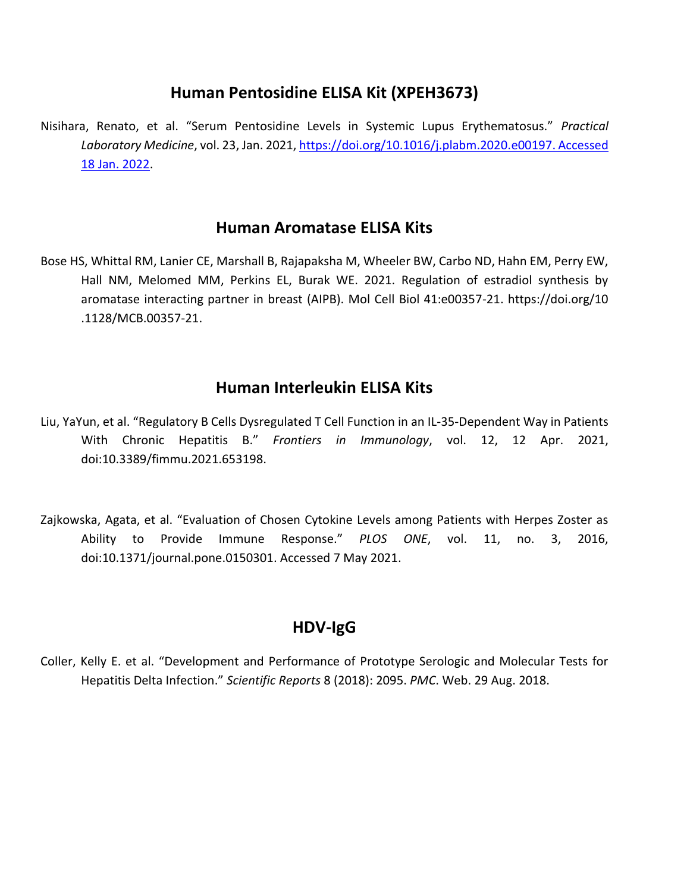### **Human Pentosidine ELISA Kit (XPEH3673)**

Nisihara, Renato, et al. "Serum Pentosidine Levels in Systemic Lupus Erythematosus." *Practical Laboratory Medicine*, vol. 23, Jan. 2021[, https://doi.org/10.1016/j.plabm.2020.e00197. Accessed](https://doi.org/10.1016/j.plabm.2020.e00197.%20Accessed%2018%20Jan.%202022)  [18 Jan. 2022.](https://doi.org/10.1016/j.plabm.2020.e00197.%20Accessed%2018%20Jan.%202022)

#### **Human Aromatase ELISA Kits**

Bose HS, Whittal RM, Lanier CE, Marshall B, Rajapaksha M, Wheeler BW, Carbo ND, Hahn EM, Perry EW, Hall NM, Melomed MM, Perkins EL, Burak WE. 2021. Regulation of estradiol synthesis by aromatase interacting partner in breast (AIPB). Mol Cell Biol 41:e00357-21. https://doi.org/10 .1128/MCB.00357-21.

## **Human Interleukin ELISA Kits**

- Liu, YaYun, et al. "Regulatory B Cells Dysregulated T Cell Function in an IL-35-Dependent Way in Patients With Chronic Hepatitis B." *Frontiers in Immunology*, vol. 12, 12 Apr. 2021, doi:10.3389/fimmu.2021.653198.
- Zajkowska, Agata, et al. "Evaluation of Chosen Cytokine Levels among Patients with Herpes Zoster as Ability to Provide Immune Response." *PLOS ONE*, vol. 11, no. 3, 2016, doi:10.1371/journal.pone.0150301. Accessed 7 May 2021.

## **HDV-IgG**

Coller, Kelly E. et al. "Development and Performance of Prototype Serologic and Molecular Tests for Hepatitis Delta Infection." *Scientific Reports* 8 (2018): 2095. *PMC*. Web. 29 Aug. 2018.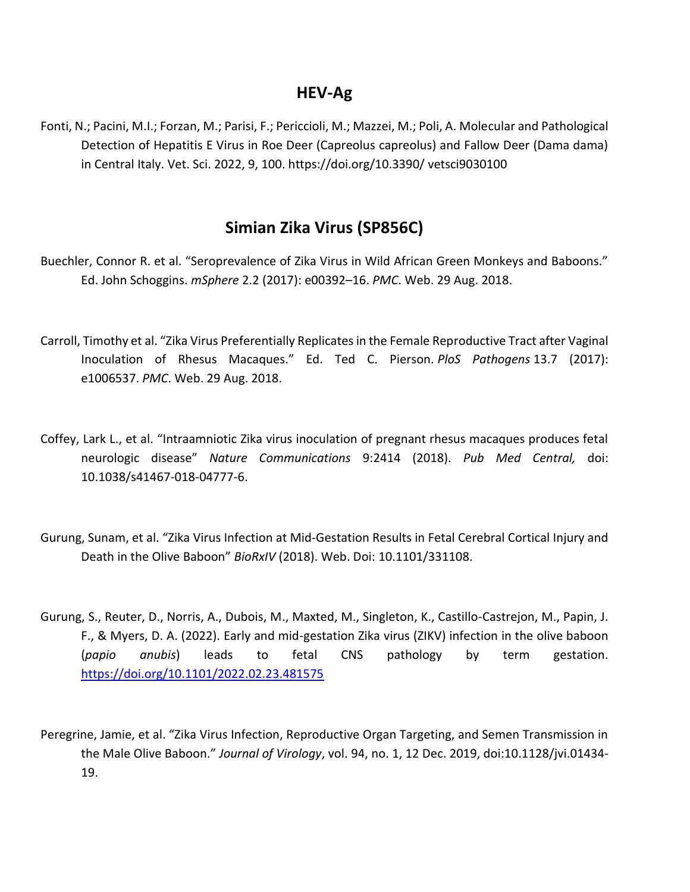#### **HEV-Ag**

Fonti, N.; Pacini, M.I.; Forzan, M.; Parisi, F.; Periccioli, M.; Mazzei, M.; Poli, A. Molecular and Pathological Detection of Hepatitis E Virus in Roe Deer (Capreolus capreolus) and Fallow Deer (Dama dama) in Central Italy. Vet. Sci. 2022, 9, 100. https://doi.org/10.3390/ vetsci9030100

#### **Simian Zika Virus (SP856C)**

- Buechler, Connor R. et al. "Seroprevalence of Zika Virus in Wild African Green Monkeys and Baboons." Ed. John Schoggins. *mSphere* 2.2 (2017): e00392–16. *PMC*. Web. 29 Aug. 2018.
- Carroll, Timothy et al. "Zika Virus Preferentially Replicates in the Female Reproductive Tract after Vaginal Inoculation of Rhesus Macaques." Ed. Ted C. Pierson. *PloS Pathogens* 13.7 (2017): e1006537. *PMC*. Web. 29 Aug. 2018.
- Coffey, Lark L., et al. "Intraamniotic Zika virus inoculation of pregnant rhesus macaques produces fetal neurologic disease" *Nature Communications* 9:2414 (2018). *Pub Med Central,* doi: 10.1038/s41467-018-04777-6.
- Gurung, Sunam, et al. "Zika Virus Infection at Mid-Gestation Results in Fetal Cerebral Cortical Injury and Death in the Olive Baboon" *BioRxIV* (2018). Web. Doi: [10.1101/331108.](https://doi.org/10.1101/331108)
- Gurung, S., Reuter, D., Norris, A., Dubois, M., Maxted, M., Singleton, K., Castillo-Castrejon, M., Papin, J. F., & Myers, D. A. (2022). Early and mid-gestation Zika virus (ZIKV) infection in the olive baboon (*papio anubis*) leads to fetal CNS pathology by term gestation. <https://doi.org/10.1101/2022.02.23.481575>
- Peregrine, Jamie, et al. "Zika Virus Infection, Reproductive Organ Targeting, and Semen Transmission in the Male Olive Baboon." *Journal of Virology*, vol. 94, no. 1, 12 Dec. 2019, doi:10.1128/jvi.01434- 19.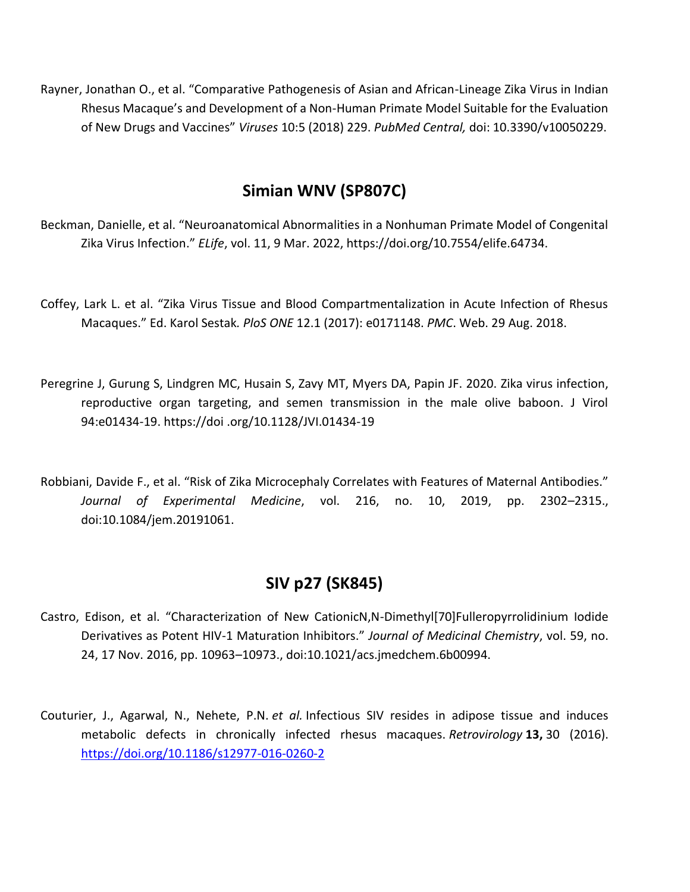Rayner, Jonathan O., et al. "Comparative Pathogenesis of Asian and African-Lineage Zika Virus in Indian Rhesus Macaque's and Development of a Non-Human Primate Model Suitable for the Evaluation of New Drugs and Vaccines" *Viruses* 10:5 (2018) 229. *PubMed Central,* doi: 10.3390/v10050229.

# **Simian WNV (SP807C)**

Beckman, Danielle, et al. "Neuroanatomical Abnormalities in a Nonhuman Primate Model of Congenital Zika Virus Infection." *ELife*, vol. 11, 9 Mar. 2022, https://doi.org/10.7554/elife.64734.

- Coffey, Lark L. et al. "Zika Virus Tissue and Blood Compartmentalization in Acute Infection of Rhesus Macaques." Ed. Karol Sestak*. PloS ONE* 12.1 (2017): e0171148. *PMC*. Web. 29 Aug. 2018.
- Peregrine J, Gurung S, Lindgren MC, Husain S, Zavy MT, Myers DA, Papin JF. 2020. Zika virus infection, reproductive organ targeting, and semen transmission in the male olive baboon. J Virol 94:e01434-19. https://doi .org/10.1128/JVI.01434-19
- Robbiani, Davide F., et al. "Risk of Zika Microcephaly Correlates with Features of Maternal Antibodies." *Journal of Experimental Medicine*, vol. 216, no. 10, 2019, pp. 2302–2315., doi:10.1084/jem.20191061.

## **SIV p27 (SK845)**

- Castro, Edison, et al. "Characterization of New CationicN,N-Dimethyl[70]Fulleropyrrolidinium Iodide Derivatives as Potent HIV-1 Maturation Inhibitors." *Journal of Medicinal Chemistry*, vol. 59, no. 24, 17 Nov. 2016, pp. 10963–10973., doi:10.1021/acs.jmedchem.6b00994.
- Couturier, J., Agarwal, N., Nehete, P.N. *et al.* Infectious SIV resides in adipose tissue and induces metabolic defects in chronically infected rhesus macaques. *Retrovirology* **13,** 30 (2016). <https://doi.org/10.1186/s12977-016-0260-2>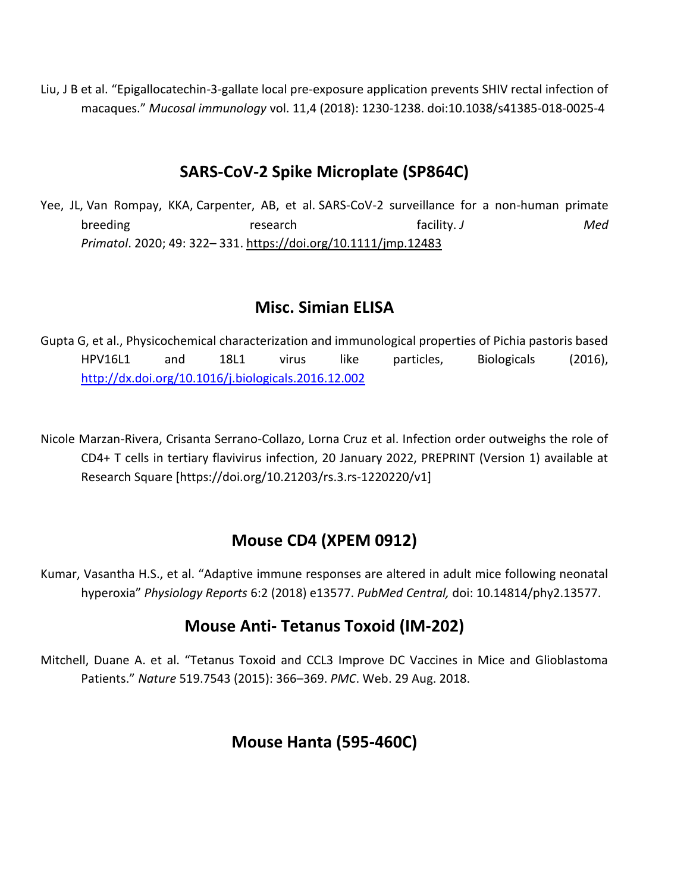Liu, J B et al. "Epigallocatechin-3-gallate local pre-exposure application prevents SHIV rectal infection of macaques." *Mucosal immunology* vol. 11,4 (2018): 1230-1238. doi:10.1038/s41385-018-0025-4

## **SARS-CoV-2 Spike Microplate (SP864C)**

Yee, JL, Van Rompay, KKA, Carpenter, AB, et al. SARS-CoV-2 surveillance for a non-human primate breeding **research** research facility. J **Med** *Primatol*. 2020; 49: 322– 331. <https://doi.org/10.1111/jmp.12483>

#### **Misc. Simian ELISA**

Gupta G, et al., Physicochemical characterization and immunological properties of Pichia pastoris based HPV16L1 and 18L1 virus like particles, Biologicals (2016), <http://dx.doi.org/10.1016/j.biologicals.2016.12.002>

Nicole Marzan-Rivera, Crisanta Serrano-Collazo, Lorna Cruz et al. Infection order outweighs the role of CD4+ T cells in tertiary flavivirus infection, 20 January 2022, PREPRINT (Version 1) available at Research Square [https://doi.org/10.21203/rs.3.rs-1220220/v1]

## **Mouse CD4 (XPEM 0912)**

Kumar, Vasantha H.S., et al. "Adaptive immune responses are altered in adult mice following neonatal hyperoxia" *Physiology Reports* 6:2 (2018) e13577. *PubMed Central,* doi: 10.14814/phy2.13577.

## **Mouse Anti- Tetanus Toxoid (IM-202)**

Mitchell, Duane A. et al. "Tetanus Toxoid and CCL3 Improve DC Vaccines in Mice and Glioblastoma Patients." *Nature* 519.7543 (2015): 366–369. *PMC*. Web. 29 Aug. 2018.

## **Mouse Hanta (595-460C)**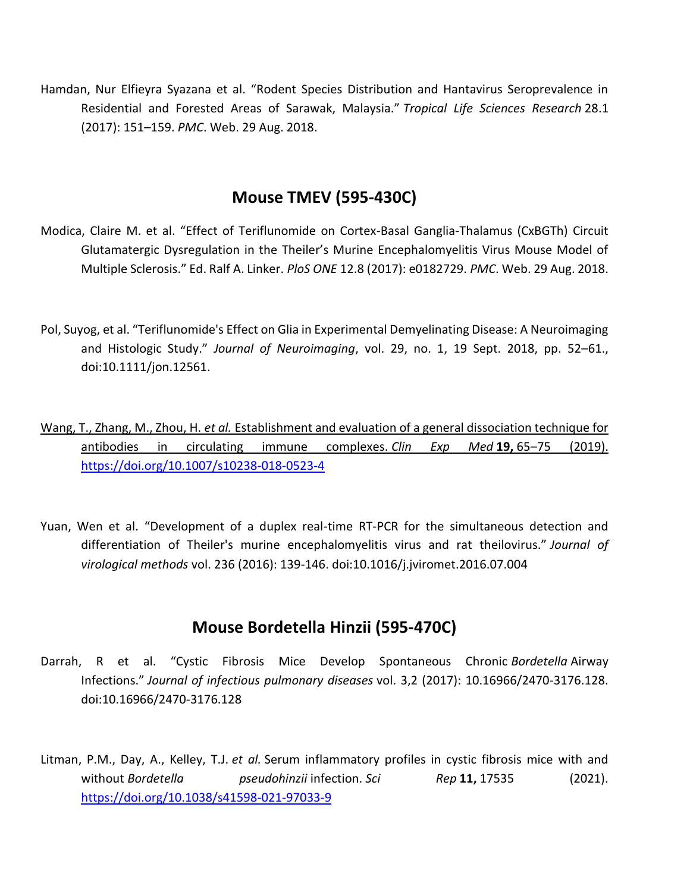Hamdan, Nur Elfieyra Syazana et al. "Rodent Species Distribution and Hantavirus Seroprevalence in Residential and Forested Areas of Sarawak, Malaysia." *Tropical Life Sciences Research* 28.1 (2017): 151–159. *PMC*. Web. 29 Aug. 2018.

### **Mouse TMEV (595-430C)**

- Modica, Claire M. et al. "Effect of Teriflunomide on Cortex-Basal Ganglia-Thalamus (CxBGTh) Circuit Glutamatergic Dysregulation in the Theiler's Murine Encephalomyelitis Virus Mouse Model of Multiple Sclerosis." Ed. Ralf A. Linker. *PloS ONE* 12.8 (2017): e0182729. *PMC*. Web. 29 Aug. 2018.
- Pol, Suyog, et al. "Teriflunomide's Effect on Glia in Experimental Demyelinating Disease: A Neuroimaging and Histologic Study." *Journal of Neuroimaging*, vol. 29, no. 1, 19 Sept. 2018, pp. 52–61., doi:10.1111/jon.12561.
- Wang, T., Zhang, M., Zhou, H. *et al.* Establishment and evaluation of a general dissociation technique for antibodies in circulating immune complexes. *Clin Exp Med* **19,** 65–75 (2019). <https://doi.org/10.1007/s10238-018-0523-4>
- Yuan, Wen et al. "Development of a duplex real-time RT-PCR for the simultaneous detection and differentiation of Theiler's murine encephalomyelitis virus and rat theilovirus." *Journal of virological methods* vol. 236 (2016): 139-146. doi:10.1016/j.jviromet.2016.07.004

## **Mouse Bordetella Hinzii (595-470C)**

- Darrah, R et al. "Cystic Fibrosis Mice Develop Spontaneous Chronic *Bordetella* Airway Infections." *Journal of infectious pulmonary diseases* vol. 3,2 (2017): 10.16966/2470-3176.128. doi:10.16966/2470-3176.128
- Litman, P.M., Day, A., Kelley, T.J. *et al.* Serum inflammatory profiles in cystic fibrosis mice with and without *Bordetella* pseudohinzii infection. *Sci* Rep 11, 17535 (2021). <https://doi.org/10.1038/s41598-021-97033-9>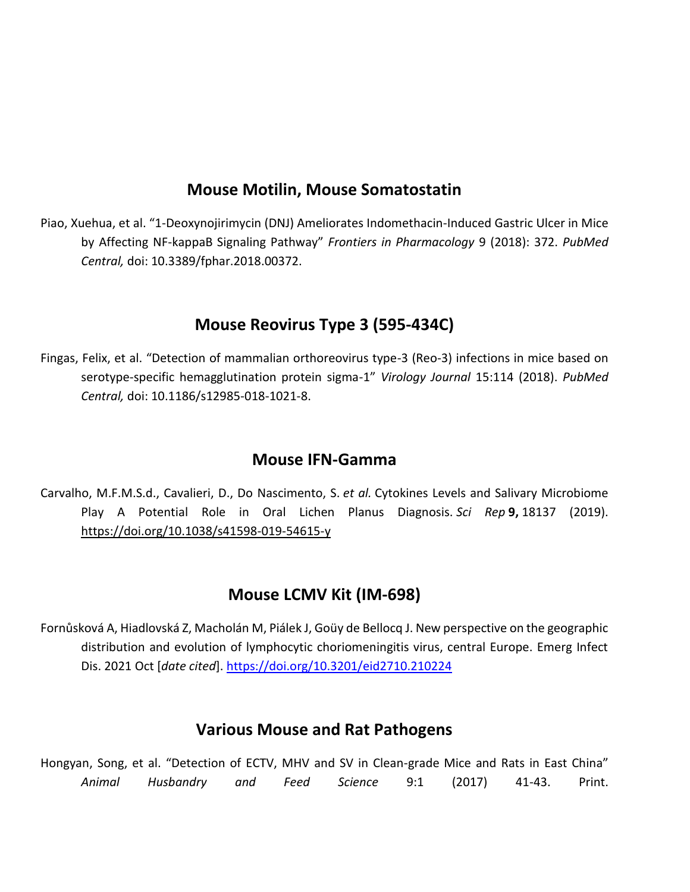## **Mouse Motilin, Mouse Somatostatin**

Piao, Xuehua, et al. "1-Deoxynojirimycin (DNJ) Ameliorates Indomethacin-Induced Gastric Ulcer in Mice by Affecting NF-kappaB Signaling Pathway" *Frontiers in Pharmacology* 9 (2018): 372. *PubMed Central,* doi: 10.3389/fphar.2018.00372.

## **Mouse Reovirus Type 3 (595-434C)**

Fingas, Felix, et al. "Detection of mammalian orthoreovirus type-3 (Reo-3) infections in mice based on serotype-specific hemagglutination protein sigma-1" *Virology Journal* 15:114 (2018). *PubMed Central,* doi: [10.1186/s12985-018-1021-8.](https://doi.org/10.1186/s12985-018-1021-8)

#### **Mouse IFN-Gamma**

Carvalho, M.F.M.S.d., Cavalieri, D., Do Nascimento, S. *et al.* Cytokines Levels and Salivary Microbiome Play A Potential Role in Oral Lichen Planus Diagnosis. *Sci Rep* **9,** 18137 (2019). <https://doi.org/10.1038/s41598-019-54615-y>

#### **Mouse LCMV Kit (IM-698)**

Fornůsková A, Hiadlovská Z, Macholán M, Piálek J, Goüy de Bellocq J. New perspective on the geographic distribution and evolution of lymphocytic choriomeningitis virus, central Europe. Emerg Infect Dis. 2021 Oct [*date cited*]. <https://doi.org/10.3201/eid2710.210224>

#### **Various Mouse and Rat Pathogens**

Hongyan, Song, et al. "Detection of ECTV, MHV and SV in Clean-grade Mice and Rats in East China" *Animal Husbandry and Feed Science* 9:1 (2017) 41-43. Print.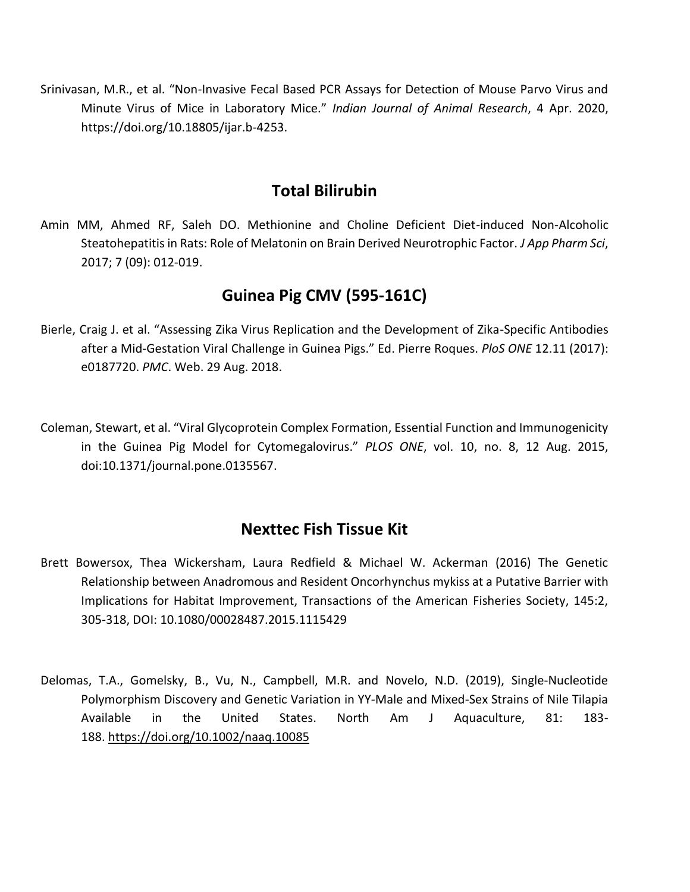Srinivasan, M.R., et al. "Non-Invasive Fecal Based PCR Assays for Detection of Mouse Parvo Virus and Minute Virus of Mice in Laboratory Mice." *Indian Journal of Animal Research*, 4 Apr. 2020, https://doi.org/10.18805/ijar.b-4253.

### **Total Bilirubin**

Amin MM, Ahmed RF, Saleh DO. Methionine and Choline Deficient Diet-induced Non-Alcoholic Steatohepatitis in Rats: Role of Melatonin on Brain Derived Neurotrophic Factor. *J App Pharm Sci*, 2017; 7 (09): 012-019.

## **Guinea Pig CMV (595-161C)**

- Bierle, Craig J. et al. "Assessing Zika Virus Replication and the Development of Zika-Specific Antibodies after a Mid-Gestation Viral Challenge in Guinea Pigs." Ed. Pierre Roques. *PloS ONE* 12.11 (2017): e0187720. *PMC*. Web. 29 Aug. 2018.
- Coleman, Stewart, et al. "Viral Glycoprotein Complex Formation, Essential Function and Immunogenicity in the Guinea Pig Model for Cytomegalovirus." *PLOS ONE*, vol. 10, no. 8, 12 Aug. 2015, doi:10.1371/journal.pone.0135567.

#### **Nexttec Fish Tissue Kit**

- Brett Bowersox, Thea Wickersham, Laura Redfield & Michael W. Ackerman (2016) The Genetic Relationship between Anadromous and Resident Oncorhynchus mykiss at a Putative Barrier with Implications for Habitat Improvement, Transactions of the American Fisheries Society, 145:2, 305-318, DOI: 10.1080/00028487.2015.1115429
- Delomas, T.A., Gomelsky, B., Vu, N., Campbell, M.R. and Novelo, N.D. (2019), Single‐Nucleotide Polymorphism Discovery and Genetic Variation in YY‐Male and Mixed‐Sex Strains of Nile Tilapia Available in the United States. North Am J Aquaculture, 81: 183- 188. <https://doi.org/10.1002/naaq.10085>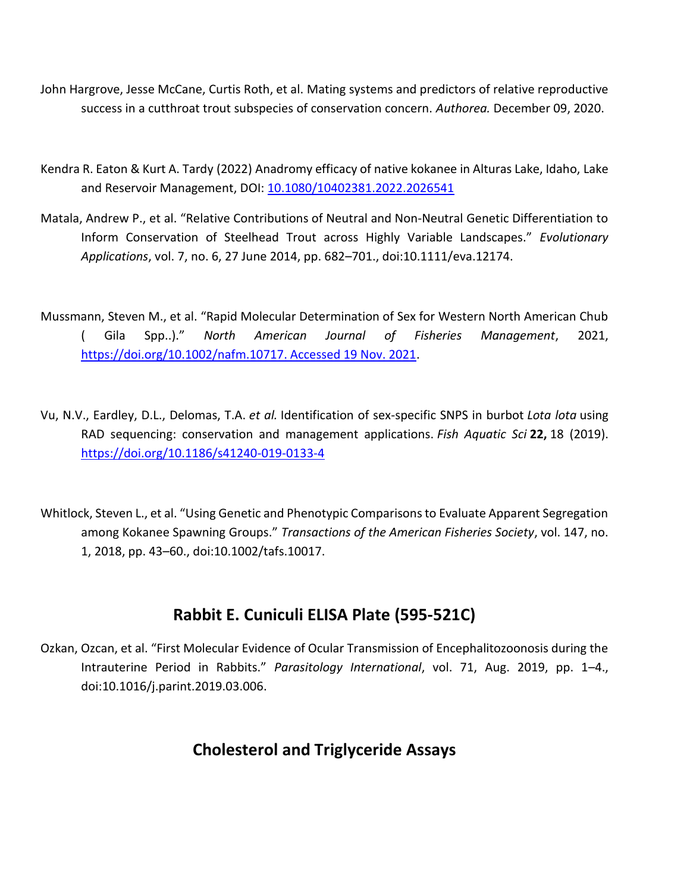- John Hargrove, Jesse McCane, Curtis Roth, et al. Mating systems and predictors of relative reproductive success in a cutthroat trout subspecies of conservation concern. *Authorea.* December 09, 2020.
- Kendra R. Eaton & Kurt A. Tardy (2022) Anadromy efficacy of native kokanee in Alturas Lake, Idaho, Lake and Reservoir Management, DOI: [10.1080/10402381.2022.2026541](https://doi.org/10.1080/10402381.2022.2026541)
- Matala, Andrew P., et al. "Relative Contributions of Neutral and Non‐Neutral Genetic Differentiation to Inform Conservation of Steelhead Trout across Highly Variable Landscapes." *Evolutionary Applications*, vol. 7, no. 6, 27 June 2014, pp. 682–701., doi:10.1111/eva.12174.
- Mussmann, Steven M., et al. "Rapid Molecular Determination of Sex for Western North American Chub ( Gila Spp..)." *North American Journal of Fisheries Management*, 2021, [https://doi.org/10.1002/nafm.10717. Accessed 19 Nov. 2021.](https://doi.org/10.1002/nafm.10717.%20Accessed%2019%20Nov.%202021)
- Vu, N.V., Eardley, D.L., Delomas, T.A. *et al.* Identification of sex-specific SNPS in burbot *Lota lota* using RAD sequencing: conservation and management applications. *Fish Aquatic Sci* **22,** 18 (2019). <https://doi.org/10.1186/s41240-019-0133-4>
- Whitlock, Steven L., et al. "Using Genetic and Phenotypic Comparisons to Evaluate Apparent Segregation among Kokanee Spawning Groups." *Transactions of the American Fisheries Society*, vol. 147, no. 1, 2018, pp. 43–60., doi:10.1002/tafs.10017.

## **Rabbit E. Cuniculi ELISA Plate (595-521C)**

Ozkan, Ozcan, et al. "First Molecular Evidence of Ocular Transmission of Encephalitozoonosis during the Intrauterine Period in Rabbits." *Parasitology International*, vol. 71, Aug. 2019, pp. 1–4., doi:10.1016/j.parint.2019.03.006.

## **Cholesterol and Triglyceride Assays**